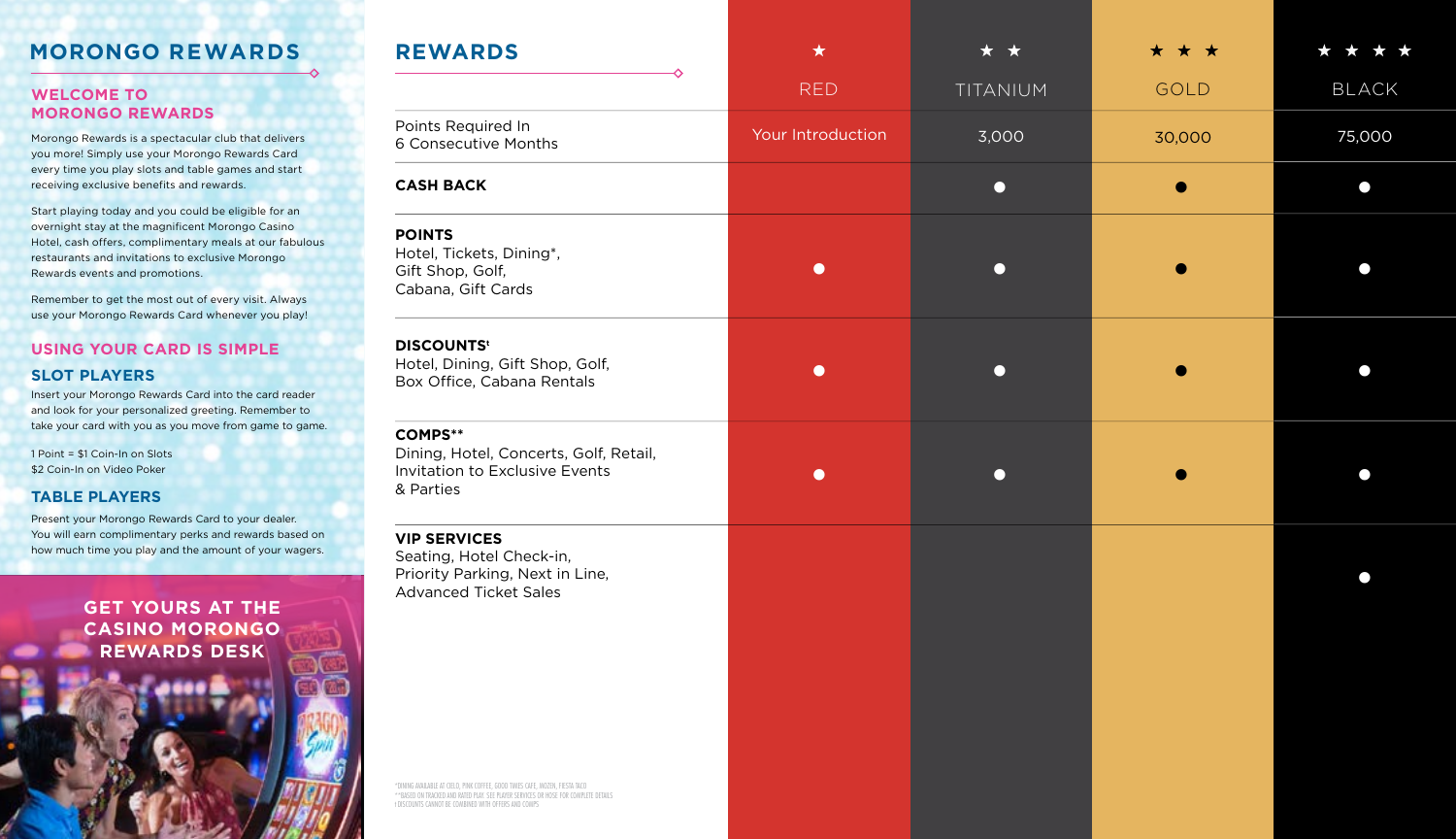# **MORONGO REWARDS**

#### **WELCOME TO MORONGO REWARDS**

Morongo Rewards is a spectacular club that delivers you more! Simply use your Morongo Rewards Card every time you play slots and table games and start receiving exclusive benefits and rewards.

Start playing today and you could be eligible for an overnight stay at the magnificent Morongo Casino Hotel, cash offers, complimentary meals at our fabulous restaurants and invitations to exclusive Morongo Rewards events and promotions.

Remember to get the most out of every visit. Always use your Morongo Rewards Card whenever you play!

## **USING YOUR CARD IS SIMPLE SLOT PLAYERS**

Insert your Morongo Rewards Card into the card reader and look for your personalized greeting. Remember to take your card with you as you move from game to game.

1 Point = \$1 Coin-In on Slots \$2 Coin-In on Video Poker

### **TABLE PLAYERS**

Present your Morongo Rewards Card to your dealer. You will earn complimentary perks and rewards based on how much time you play and the amount of your wagers.

> **GET YOURS AT THE CASINO MORONGO REWARDS DESK**

| <b>REWARDS</b>                                                                                                                                                                                                              | $\star$           | $\star$   | * * *  |              |
|-----------------------------------------------------------------------------------------------------------------------------------------------------------------------------------------------------------------------------|-------------------|-----------|--------|--------------|
|                                                                                                                                                                                                                             | <b>RED</b>        | TITANIUM  | GOLD   | <b>BLACK</b> |
| Points Required In<br>6 Consecutive Months                                                                                                                                                                                  | Your Introduction | 3,000     | 30,000 | 75,000       |
| <b>CASH BACK</b>                                                                                                                                                                                                            |                   | $\bullet$ |        | ∩            |
| <b>POINTS</b><br>Hotel, Tickets, Dining*,<br>Gift Shop, Golf,<br>Cabana, Gift Cards                                                                                                                                         | $\bullet$         | $\bigcap$ |        |              |
| <b>DISCOUNTS<sup>t</sup></b><br>Hotel, Dining, Gift Shop, Golf,<br>Box Office, Cabana Rentals                                                                                                                               | $\bullet$         | $\bigcap$ |        |              |
| <b>COMPS**</b><br>Dining, Hotel, Concerts, Golf, Retail,<br>Invitation to Exclusive Events<br>& Parties                                                                                                                     | $\bullet$         | $\bullet$ |        |              |
| <b>VIP SERVICES</b><br>Seating, Hotel Check-in,<br>Priority Parking, Next in Line,<br><b>Advanced Ticket Sales</b>                                                                                                          |                   |           |        |              |
| *DINING AVAILABLE AT CIELO, PINK COFFEE, GOOD TIMES CAFE, MOZEN, FIESTA TACO<br>**BASED ON TRACKED AND RATED PLAY. SEE PLAYER SERVICES OR HOSE FOR COMPLETE DETAILS<br>t DISCOUNTS CANNOT BE COMBINED WITH OFFERS AND COMPS |                   |           |        |              |